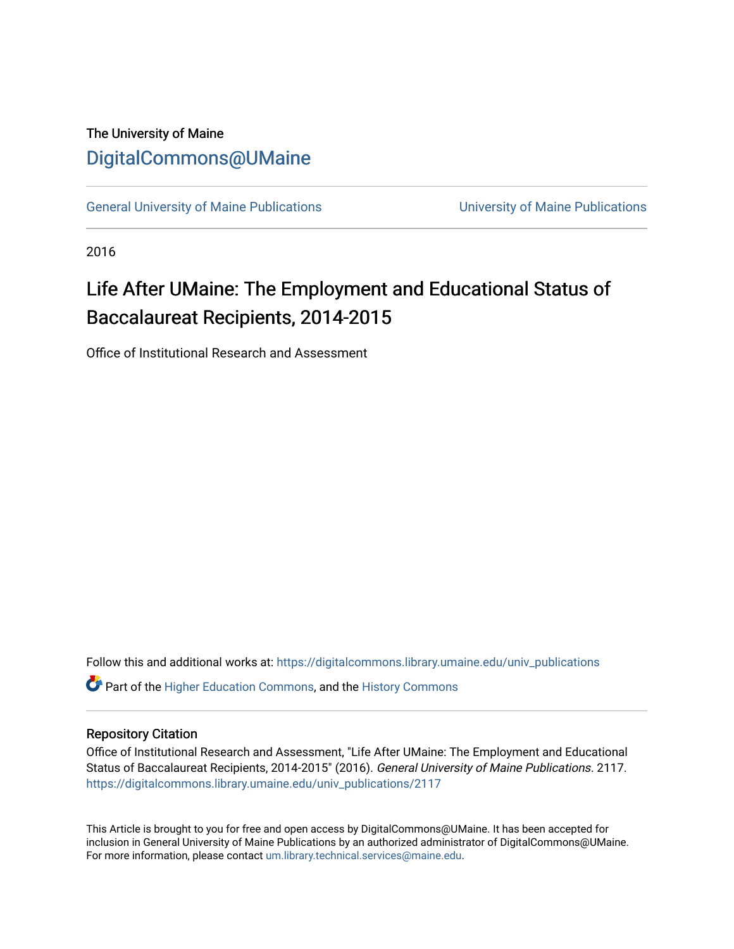# The University of Maine [DigitalCommons@UMaine](https://digitalcommons.library.umaine.edu/)

[General University of Maine Publications](https://digitalcommons.library.umaine.edu/univ_publications) [University of Maine Publications](https://digitalcommons.library.umaine.edu/umaine_publications) 

2016

# Life After UMaine: The Employment and Educational Status of Baccalaureat Recipients, 2014-2015

Office of Institutional Research and Assessment

Follow this and additional works at: [https://digitalcommons.library.umaine.edu/univ\\_publications](https://digitalcommons.library.umaine.edu/univ_publications?utm_source=digitalcommons.library.umaine.edu%2Funiv_publications%2F2117&utm_medium=PDF&utm_campaign=PDFCoverPages) 

**C** Part of the [Higher Education Commons,](http://network.bepress.com/hgg/discipline/1245?utm_source=digitalcommons.library.umaine.edu%2Funiv_publications%2F2117&utm_medium=PDF&utm_campaign=PDFCoverPages) and the [History Commons](http://network.bepress.com/hgg/discipline/489?utm_source=digitalcommons.library.umaine.edu%2Funiv_publications%2F2117&utm_medium=PDF&utm_campaign=PDFCoverPages)

#### Repository Citation

Office of Institutional Research and Assessment, "Life After UMaine: The Employment and Educational Status of Baccalaureat Recipients, 2014-2015" (2016). General University of Maine Publications. 2117. [https://digitalcommons.library.umaine.edu/univ\\_publications/2117](https://digitalcommons.library.umaine.edu/univ_publications/2117?utm_source=digitalcommons.library.umaine.edu%2Funiv_publications%2F2117&utm_medium=PDF&utm_campaign=PDFCoverPages)

This Article is brought to you for free and open access by DigitalCommons@UMaine. It has been accepted for inclusion in General University of Maine Publications by an authorized administrator of DigitalCommons@UMaine. For more information, please contact [um.library.technical.services@maine.edu](mailto:um.library.technical.services@maine.edu).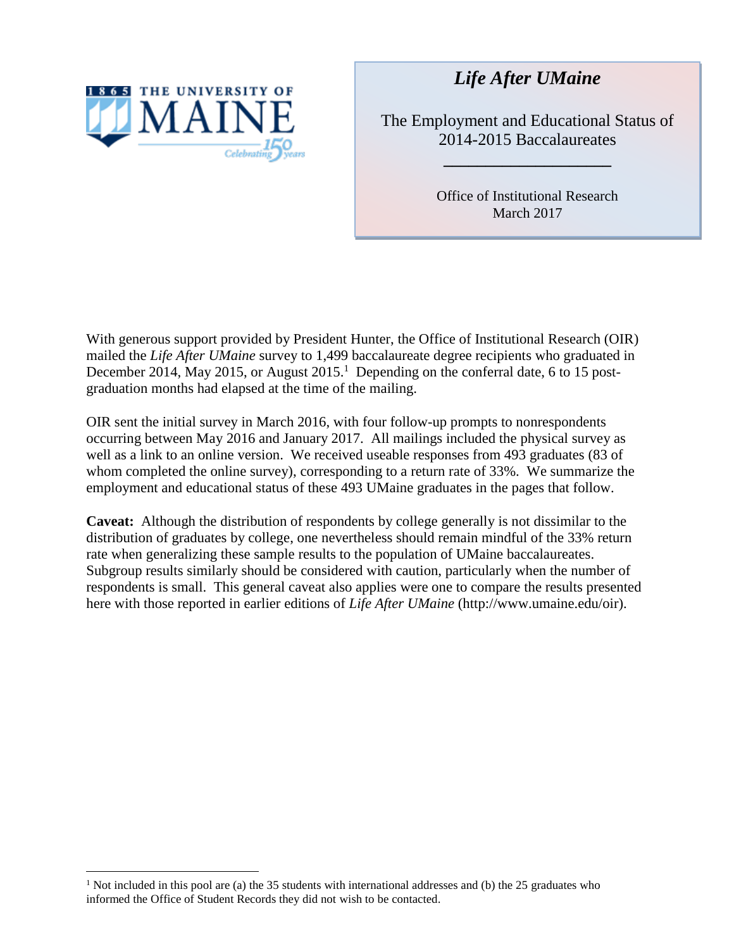

 $\overline{a}$ 

*Life After UMaine*

The Employment and Educational Status of 2014-2015 Baccalaureates

**\_\_\_\_\_\_\_\_\_\_\_\_\_\_\_\_\_\_\_\_**

Office of Institutional Research March 2017

With generous support provided by President Hunter, the Office of Institutional Research (OIR) mailed the *Life After UMaine* survey to 1,499 baccalaureate degree recipients who graduated in December 2014, May 2015, or August 2015.<sup>1</sup> Depending on the conferral date, 6 to 15 postgraduation months had elapsed at the time of the mailing.

OIR sent the initial survey in March 2016, with four follow-up prompts to nonrespondents occurring between May 2016 and January 2017. All mailings included the physical survey as well as a link to an online version. We received useable responses from 493 graduates (83 of whom completed the online survey), corresponding to a return rate of 33%. We summarize the employment and educational status of these 493 UMaine graduates in the pages that follow.

**Caveat:** Although the distribution of respondents by college generally is not dissimilar to the distribution of graduates by college, one nevertheless should remain mindful of the 33% return rate when generalizing these sample results to the population of UMaine baccalaureates. Subgroup results similarly should be considered with caution, particularly when the number of respondents is small. This general caveat also applies were one to compare the results presented here with those reported in earlier editions of *Life After UMaine* (http://www.umaine.edu/oir).

<sup>&</sup>lt;sup>1</sup> Not included in this pool are (a) the 35 students with international addresses and (b) the 25 graduates who informed the Office of Student Records they did not wish to be contacted.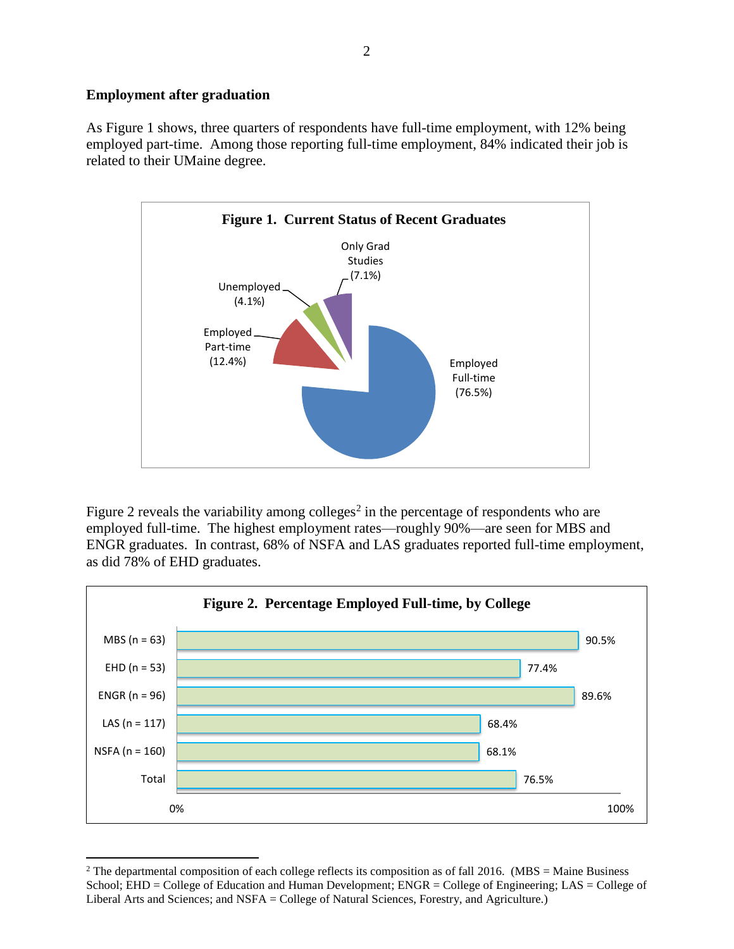## **Employment after graduation**

As Figure 1 shows, three quarters of respondents have full-time employment, with 12% being employed part-time. Among those reporting full-time employment, 84% indicated their job is related to their UMaine degree.



Figure 2 reveals the variability among colleges<sup>2</sup> in the percentage of respondents who are employed full-time. The highest employment rates—roughly 90%—are seen for MBS and ENGR graduates. In contrast, 68% of NSFA and LAS graduates reported full-time employment, as did 78% of EHD graduates.



 $\overline{a}$ <sup>2</sup> The departmental composition of each college reflects its composition as of fall 2016. (MBS = Maine Business School; EHD = College of Education and Human Development; ENGR = College of Engineering; LAS = College of Liberal Arts and Sciences; and NSFA = College of Natural Sciences, Forestry, and Agriculture.)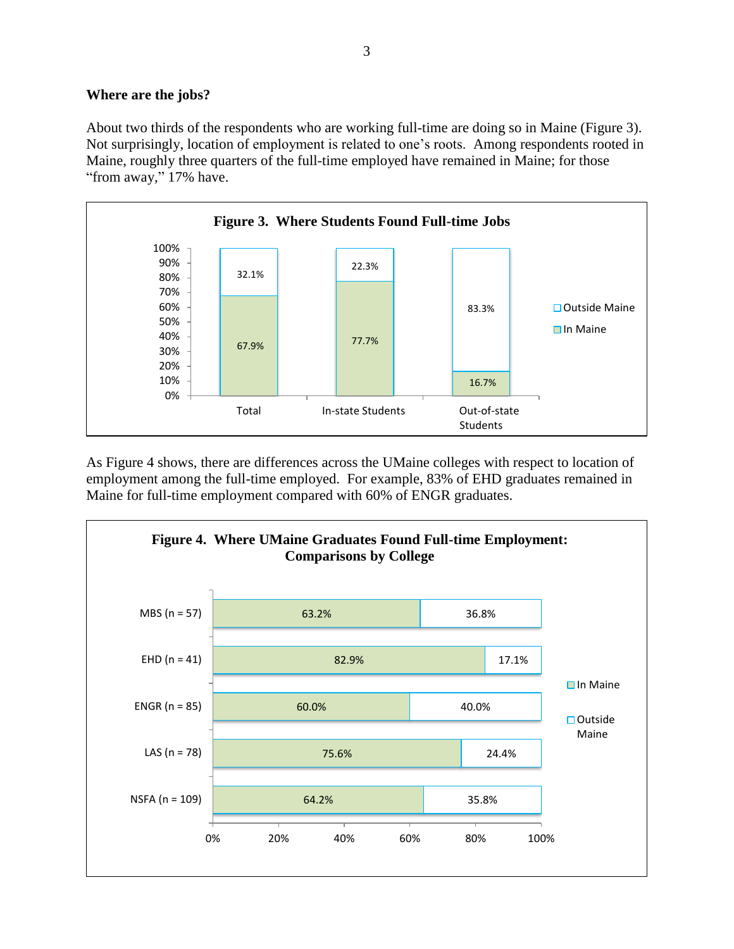### **Where are the jobs?**

About two thirds of the respondents who are working full-time are doing so in Maine (Figure 3). Not surprisingly, location of employment is related to one's roots. Among respondents rooted in Maine, roughly three quarters of the full-time employed have remained in Maine; for those "from away," 17% have.



As Figure 4 shows, there are differences across the UMaine colleges with respect to location of employment among the full-time employed. For example, 83% of EHD graduates remained in Maine for full-time employment compared with 60% of ENGR graduates.

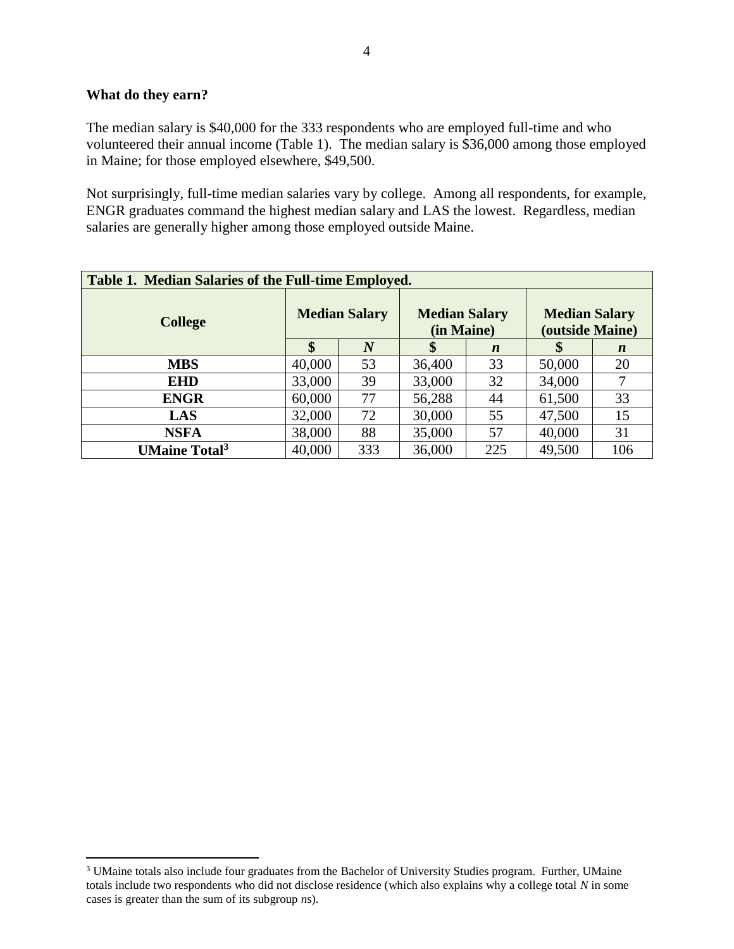#### **What do they earn?**

 $\overline{a}$ 

The median salary is \$40,000 for the 333 respondents who are employed full-time and who volunteered their annual income (Table 1). The median salary is \$36,000 among those employed in Maine; for those employed elsewhere, \$49,500.

Not surprisingly, full-time median salaries vary by college. Among all respondents, for example, ENGR graduates command the highest median salary and LAS the lowest. Regardless, median salaries are generally higher among those employed outside Maine.

| Table 1. Median Salaries of the Full-time Employed. |                      |     |                                    |                  |                                         |                  |  |  |
|-----------------------------------------------------|----------------------|-----|------------------------------------|------------------|-----------------------------------------|------------------|--|--|
| <b>College</b>                                      | <b>Median Salary</b> |     | <b>Median Salary</b><br>(in Maine) |                  | <b>Median Salary</b><br>(outside Maine) |                  |  |  |
|                                                     | \$                   | N   | \$                                 | $\boldsymbol{n}$ | S                                       | $\boldsymbol{n}$ |  |  |
| <b>MBS</b>                                          | 40,000               | 53  | 36,400                             | 33               | 50,000                                  | 20               |  |  |
| <b>EHD</b>                                          | 33,000               | 39  | 33,000                             | 32               | 34,000                                  |                  |  |  |
| <b>ENGR</b>                                         | 60,000               | 77  | 56,288                             | 44               | 61,500                                  | 33               |  |  |
| LAS                                                 | 32,000               | 72  | 30,000                             | 55               | 47,500                                  | 15               |  |  |
| <b>NSFA</b>                                         | 38,000               | 88  | 35,000                             | 57               | 40,000                                  | 31               |  |  |
| <b>UMaine Total<sup>3</sup></b>                     | 40,000               | 333 | 36,000                             | 225              | 49,500                                  | 106              |  |  |

<sup>&</sup>lt;sup>3</sup> UMaine totals also include four graduates from the Bachelor of University Studies program. Further, UMaine totals include two respondents who did not disclose residence (which also explains why a college total *N* in some cases is greater than the sum of its subgroup *n*s).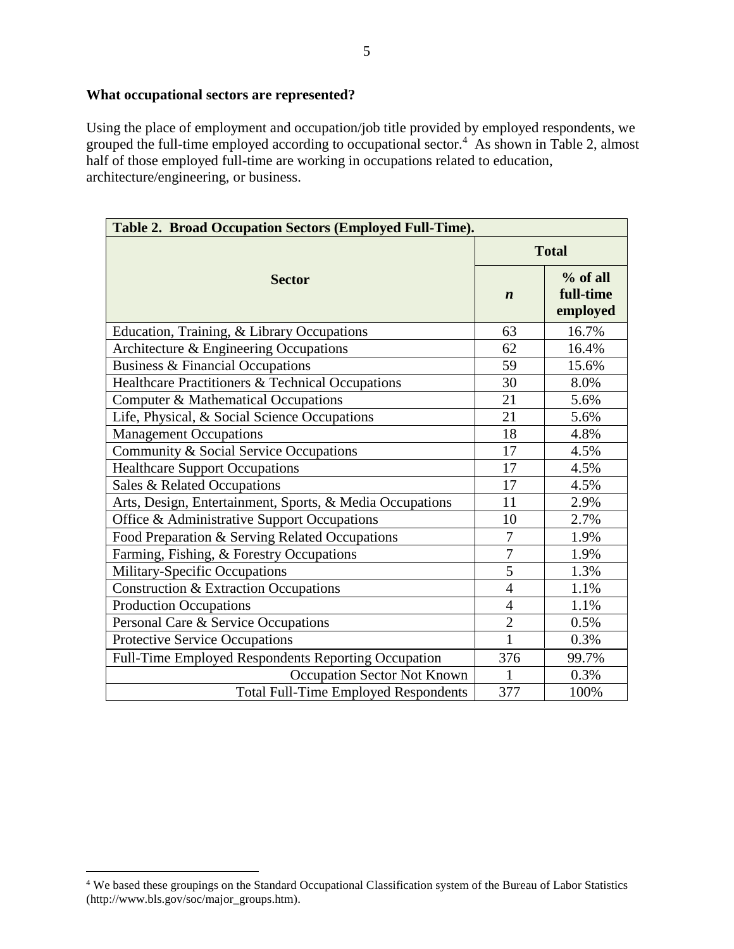Using the place of employment and occupation/job title provided by employed respondents, we grouped the full-time employed according to occupational sector.<sup>4</sup> As shown in Table 2, almost half of those employed full-time are working in occupations related to education, architecture/engineering, or business.

| Table 2. Broad Occupation Sectors (Employed Full-Time).  |                  |                                     |  |  |  |  |
|----------------------------------------------------------|------------------|-------------------------------------|--|--|--|--|
|                                                          | <b>Total</b>     |                                     |  |  |  |  |
| <b>Sector</b>                                            | $\boldsymbol{n}$ | $%$ of all<br>full-time<br>employed |  |  |  |  |
| Education, Training, & Library Occupations               | 63               | 16.7%                               |  |  |  |  |
| Architecture & Engineering Occupations                   | 62               | 16.4%                               |  |  |  |  |
| Business & Financial Occupations                         | 59               | 15.6%                               |  |  |  |  |
| Healthcare Practitioners & Technical Occupations         | 30               | 8.0%                                |  |  |  |  |
| Computer & Mathematical Occupations                      | 21               | 5.6%                                |  |  |  |  |
| Life, Physical, & Social Science Occupations             | 21               | 5.6%                                |  |  |  |  |
| <b>Management Occupations</b>                            | 18               | 4.8%                                |  |  |  |  |
| Community & Social Service Occupations                   | 17               | 4.5%                                |  |  |  |  |
| <b>Healthcare Support Occupations</b>                    | 17               | 4.5%                                |  |  |  |  |
| Sales & Related Occupations                              | 17               | 4.5%                                |  |  |  |  |
| Arts, Design, Entertainment, Sports, & Media Occupations | 11               | 2.9%                                |  |  |  |  |
| Office & Administrative Support Occupations              | 10               | 2.7%                                |  |  |  |  |
| Food Preparation & Serving Related Occupations           | 7                | 1.9%                                |  |  |  |  |
| Farming, Fishing, & Forestry Occupations                 | $\overline{7}$   | 1.9%                                |  |  |  |  |
| Military-Specific Occupations                            | 5                | 1.3%                                |  |  |  |  |
| Construction & Extraction Occupations                    | $\overline{4}$   | 1.1%                                |  |  |  |  |
| <b>Production Occupations</b>                            | $\overline{4}$   | 1.1%                                |  |  |  |  |
| Personal Care & Service Occupations                      | $\overline{2}$   | 0.5%                                |  |  |  |  |
| <b>Protective Service Occupations</b>                    | $\mathbf{1}$     | 0.3%                                |  |  |  |  |
| Full-Time Employed Respondents Reporting Occupation      | 376              | 99.7%                               |  |  |  |  |
| Occupation Sector Not Known                              | $\mathbf{1}$     | 0.3%                                |  |  |  |  |
| <b>Total Full-Time Employed Respondents</b>              | 377              | 100%                                |  |  |  |  |

 $\overline{a}$ 

<sup>&</sup>lt;sup>4</sup> We based these groupings on the Standard Occupational Classification system of the Bureau of Labor Statistics (http://www.bls.gov/soc/major\_groups.htm).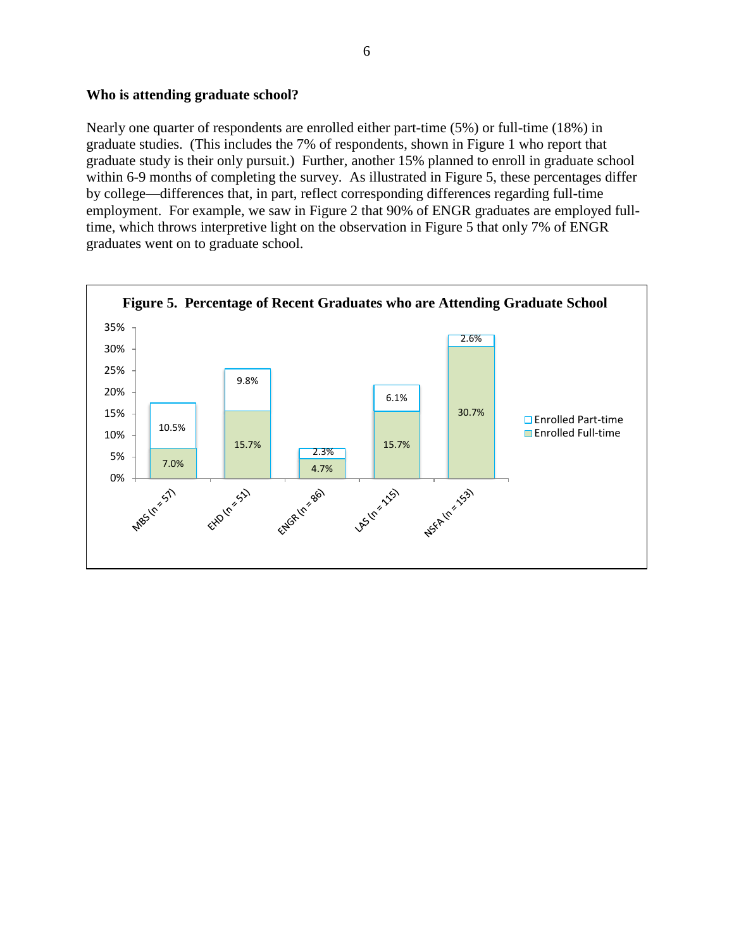#### **Who is attending graduate school?**

Nearly one quarter of respondents are enrolled either part-time (5%) or full-time (18%) in graduate studies. (This includes the 7% of respondents, shown in Figure 1 who report that graduate study is their only pursuit.) Further, another 15% planned to enroll in graduate school within 6-9 months of completing the survey. As illustrated in Figure 5, these percentages differ by college—differences that, in part, reflect corresponding differences regarding full-time employment. For example, we saw in Figure 2 that 90% of ENGR graduates are employed fulltime, which throws interpretive light on the observation in Figure 5 that only 7% of ENGR graduates went on to graduate school.